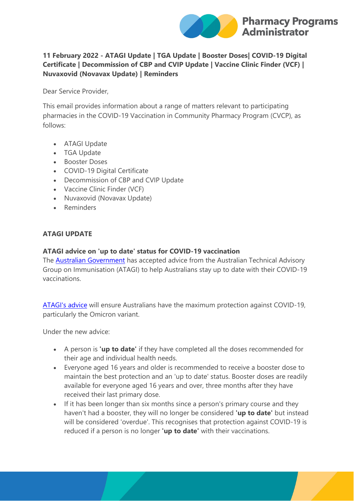

# **11 February 2022 - ATAGI Update | TGA Update | Booster Doses| COVID-19 Digital Certificate | Decommission of CBP and CVIP Update | Vaccine Clinic Finder (VCF) | Nuvaxovid (Novavax Update) | Reminders**

Dear Service Provider,

This email provides information about a range of matters relevant to participating pharmacies in the COVID-19 Vaccination in Community Pharmacy Program (CVCP), as follows:

- ATAGI Update
- TGA Update
- Booster Doses
- COVID-19 Digital Certificate
- Decommission of CBP and CVIP Update
- Vaccine Clinic Finder (VCF)
- Nuvaxovid (Novavax Update)
- Reminders

# **ATAGI UPDATE**

## **ATAGI advice on 'up to date' status for COVID-19 vaccination**

The [Australian Government](https://protect-au.mimecast.com/s/CHBzCq71BZfLN6LiXI5yC?domain=health.gov.au) has accepted advice from the Australian Technical Advisory Group on Immunisation (ATAGI) to help Australians stay up to date with their COVID-19 vaccinations.

[ATAGI's advice](https://protect-au.mimecast.com/s/yJmNCr81D9UwZ3wI4h60q?domain=health.gov.au) will ensure Australians have the maximum protection against COVID-19, particularly the Omicron variant.

Under the new advice:

- A person is **'up to date'** if they have completed all the doses recommended for their age and individual health needs.
- Everyone aged 16 years and older is recommended to receive a booster dose to maintain the best protection and an 'up to date' status. Booster doses are readily available for everyone aged 16 years and over, three months after they have received their last primary dose.
- If it has been longer than six months since a person's primary course and they haven't had a booster, they will no longer be considered **'up to date'** but instead will be considered 'overdue'. This recognises that protection against COVID-19 is reduced if a person is no longer **'up to date'** with their vaccinations.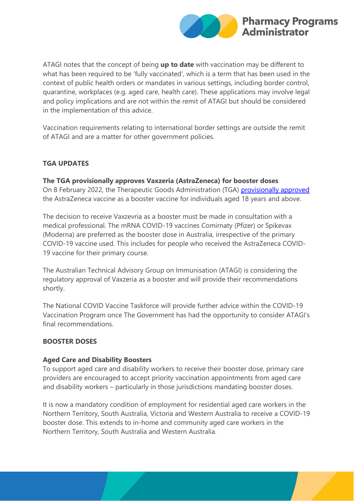

ATAGI notes that the concept of being **up to date** with vaccination may be different to what has been required to be 'fully vaccinated', which is a term that has been used in the context of public health orders or mandates in various settings, including border control, quarantine, workplaces (e.g. aged care, health care). These applications may involve legal and policy implications and are not within the remit of ATAGI but should be considered in the implementation of this advice.

Vaccination requirements relating to international border settings are outside the remit of ATAGI and are a matter for other government policies.

# **TGA UPDATES**

# **The TGA provisionally approves Vaxzeria (AstraZeneca) for booster doses**

On 8 February 2022, the Therapeutic Goods Administration (TGA) [provisionally approved](https://protect-au.mimecast.com/s/VvUkCvl10ZtO80OcAuIBP?domain=tga.gov.au) the AstraZeneca vaccine as a booster vaccine for individuals aged 18 years and above.

The decision to receive Vaxzevria as a booster must be made in consultation with a medical professional. The mRNA COVID-19 vaccines Comirnaty (Pfizer) or Spikevax (Moderna) are preferred as the booster dose in Australia, irrespective of the primary COVID-19 vaccine used. This includes for people who received the AstraZeneca COVID-19 vaccine for their primary course.

The Australian Technical Advisory Group on Immunisation (ATAGI) is considering the regulatory approval of Vaxzeria as a booster and will provide their recommendations shortly.

The National COVID Vaccine Taskforce will provide further advice within the COVID-19 Vaccination Program once The Government has had the opportunity to consider ATAGI's final recommendations.

## **BOOSTER DOSES**

#### **Aged Care and Disability Boosters**

To support aged care and disability workers to receive their booster dose, primary care providers are encouraged to accept priority vaccination appointments from aged care and disability workers – particularly in those jurisdictions mandating booster doses.

It is now a mandatory condition of employment for residential aged care workers in the Northern Territory, South Australia, Victoria and Western Australia to receive a COVID-19 booster dose. This extends to in-home and community aged care workers in the Northern Territory, South Australia and Western Australia.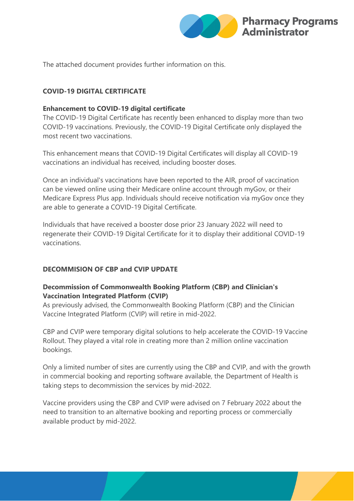

The attached document provides further information on this.

# **COVID-19 DIGITAL CERTIFICATE**

#### **Enhancement to COVID-19 digital certificate**

The COVID-19 Digital Certificate has recently been enhanced to display more than two COVID-19 vaccinations. Previously, the COVID-19 Digital Certificate only displayed the most recent two vaccinations.

This enhancement means that COVID-19 Digital Certificates will display all COVID-19 vaccinations an individual has received, including booster doses.

Once an individual's vaccinations have been reported to the AIR, proof of vaccination can be viewed online using their Medicare online account through myGov, or their Medicare Express Plus app. Individuals should receive notification via myGov once they are able to generate a COVID-19 Digital Certificate.

Individuals that have received a booster dose prior 23 January 2022 will need to regenerate their COVID-19 Digital Certificate for it to display their additional COVID-19 vaccinations.

## **DECOMMISION OF CBP and CVIP UPDATE**

# **Decommission of Commonwealth Booking Platform (CBP) and Clinician's Vaccination Integrated Platform (CVIP)**

As previously advised, the Commonwealth Booking Platform (CBP) and the Clinician Vaccine Integrated Platform (CVIP) will retire in mid-2022.

CBP and CVIP were temporary digital solutions to help accelerate the COVID-19 Vaccine Rollout. They played a vital role in creating more than 2 million online vaccination bookings.

Only a limited number of sites are currently using the CBP and CVIP, and with the growth in commercial booking and reporting software available, the Department of Health is taking steps to decommission the services by mid-2022.

Vaccine providers using the CBP and CVIP were advised on 7 February 2022 about the need to transition to an alternative booking and reporting process or commercially available product by mid-2022.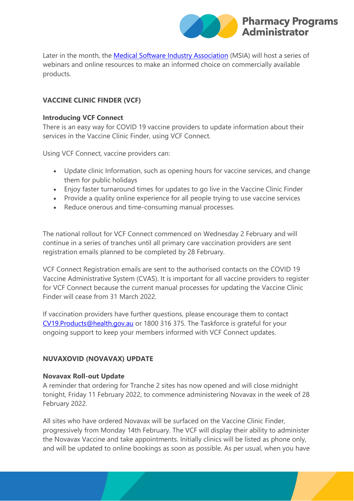

Later in the month, the [Medical Software Industry Association](https://protect-au.mimecast.com/s/IkJGCwV1Lrf0xZ0I1He8F?domain=msia.com.au) (MSIA) will host a series of webinars and online resources to make an informed choice on commercially available products.

# **VACCINE CLINIC FINDER (VCF)**

#### **Introducing VCF Connect**

There is an easy way for COVID 19 vaccine providers to update information about their services in the Vaccine Clinic Finder, using VCF Connect.

Using VCF Connect, vaccine providers can:

- Update clinic Information, such as opening hours for vaccine services, and change them for public holidays
- Enjoy faster turnaround times for updates to go live in the Vaccine Clinic Finder
- Provide a quality online experience for all people trying to use vaccine services
- Reduce onerous and time-consuming manual processes.

The national rollout for VCF Connect commenced on Wednesday 2 February and will continue in a series of tranches until all primary care vaccination providers are sent registration emails planned to be completed by 28 February.

VCF Connect Registration emails are sent to the authorised contacts on the COVID 19 Vaccine Administrative System (CVAS). It is important for all vaccine providers to register for VCF Connect because the current manual processes for updating the Vaccine Clinic Finder will cease from 31 March 2022.

If vaccination providers have further questions, please encourage them to contact [CV19.Products@health.gov.au](mailto:CV19.Products@health.gov.au) or 1800 316 375. The Taskforce is grateful for your ongoing support to keep your members informed with VCF Connect updates.

## **NUVAXOVID (NOVAVAX) UPDATE**

## **Novavax Roll-out Update**

A reminder that ordering for Tranche 2 sites has now opened and will close midnight tonight, Friday 11 February 2022, to commence administering Novavax in the week of 28 February 2022.

All sites who have ordered Novavax will be surfaced on the Vaccine Clinic Finder, progressively from Monday 14th February. The VCF will display their ability to administer the Novavax Vaccine and take appointments. Initially clinics will be listed as phone only, and will be updated to online bookings as soon as possible. As per usual, when you have